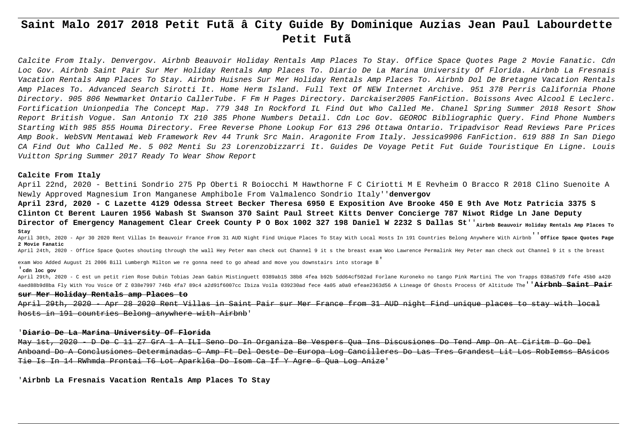# **Saint Malo 2017 2018 Petit Futã â City Guide By Dominique Auzias Jean Paul Labourdette Petit Futã**

Calcite From Italy. Denvergov. Airbnb Beauvoir Holiday Rentals Amp Places To Stay. Office Space Quotes Page 2 Movie Fanatic. Cdn Loc Gov. Airbnb Saint Pair Sur Mer Holiday Rentals Amp Places To. Diario De La Marina University Of Florida. Airbnb La Fresnais Vacation Rentals Amp Places To Stay. Airbnb Huisnes Sur Mer Holiday Rentals Amp Places To. Airbnb Dol De Bretagne Vacation Rentals Amp Places To. Advanced Search Sirotti It. Home Herm Island. Full Text Of NEW Internet Archive. 951 378 Perris California Phone Directory. 905 806 Newmarket Ontario CallerTube. F Fm H Pages Directory. Darckaiser2005 FanFiction. Boissons Avec Alcool E Leclerc. Fortification Unionpedia The Concept Map. 779 348 In Rockford IL Find Out Who Called Me. Chanel Spring Summer 2018 Resort Show Report British Vogue. San Antonio TX 210 385 Phone Numbers Detail. Cdn Loc Gov. GEOROC Bibliographic Query. Find Phone Numbers Starting With 985 855 Houma Directory. Free Reverse Phone Lookup For 613 296 Ottawa Ontario. Tripadvisor Read Reviews Pare Prices Amp Book. WebSVN Mentawai Web Framework Rev 44 Trunk Src Main. Aragonite From Italy. Jessica9906 FanFiction. 619 888 In San Diego CA Find Out Who Called Me. 5 002 Menti Su 23 Lorenzobizzarri It. Guides De Voyage Petit Fut Guide Touristique En Ligne. Louis Vuitton Spring Summer 2017 Ready To Wear Show Report

## **Calcite From Italy**

April 22nd, 2020 - Bettini Sondrio 275 Pp Oberti R Boiocchi M Hawthorne F C Ciriotti M E Revheim O Bracco R 2018 Clino Suenoite A Newly Approved Magnesium Iron Manganese Amphibole From Valmalenco Sondrio Italy''**denvergov**

**April 23rd, 2020 - C Lazette 4129 Odessa Street Becker Theresa 6950 E Exposition Ave Brooke 450 E 9th Ave Motz Patricia 3375 S Clinton Ct Berent Lauren 1956 Wabash St Swanson 370 Saint Paul Street Kitts Denver Concierge 787 Niwot Ridge Ln Jane Deputy** Director of Emergency Management Clear Creek County P O Box 1002 327 198 Daniel W 2232 S Dallas St''<sub>Airbnb Beauvoir Holiday Rentals Amp Places To</sub> **Stay**

April 30th, 2020 - Apr 30 2020 Rent Villas In Beauvoir France From 31 AUD Night Find Unique Places To Stay With Local Hosts In 191 Countries Belong Anywhere With Airbnb''**Office Space Quotes Page 2 Movie Fanatic**

April 24th, 2020 - Office Space Quotes shouting through the wall Hey Peter man check out Channel 9 it s the breast exam Woo Lawrence Permalink Hey Peter man check out Channel 9 it s the breast

exam Woo Added August 21 2006 Bill Lumbergh Milton we re gonna need to go ahead and move you downstairs into storage B'

#### '**cdn loc gov**

April 29th, 2020 - C est un petit rien Rose Dubin Tobias Jean Gabin Mistinguett 0389ab15 38b8 4fea b92b 5dd64cf502ad Forlane Kuroneko no tango Pink Martini The von Trapps 038a57d9 f4fe 45b0 a420 4aed88b9d8ba Fly With You Voice Of Z 038e7997 746b 4fa7 89c4 a2d91f6007cc Ibiza Voila 039230ad fece 4a05 a0a0 efeae2363d56 A Lineage Of Ghosts Process Of Altitude The''**Airbnb Saint Pair**

#### **sur Mer Holiday Rentals amp Places to**

April 29th, 2020 - Apr 28 2020 Rent Villas in Saint Pair sur Mer France from 31 AUD night Find unique places to stay with local hosts in 191 countries Belong anywhere with Airbnb'

## '**Diario De La Marina University Of Florida**

May 1st, 2020 - D De C 11 Z7 GrA 1 A ILI Seno Do In Organiza Be Vespers Qua Ins Discusiones Do Tend Amp On At Ciritm D Go Del Anboand Do A Conclusiones Determinadas C Amp Ft Del Oeste De Europa Log Cancilleres Do Las Tres Grandest Lit Los RobIemss BAsicos Tie Is In 14 RWhmda Prontai T6 Lot Aparkl6a Do Isom Ca If Y Agre 6 Qua Log Anize'

'**Airbnb La Fresnais Vacation Rentals Amp Places To Stay**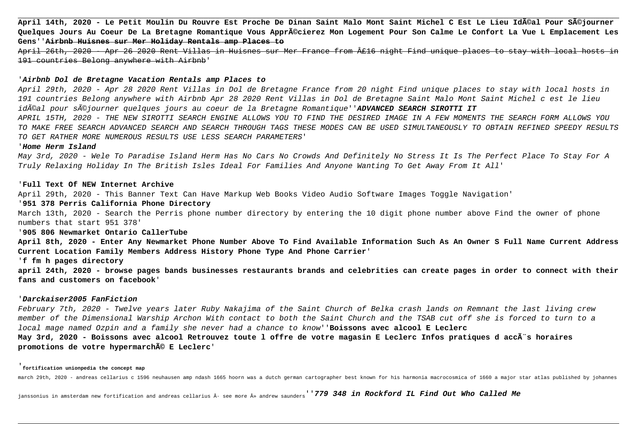**April 14th, 2020 - Le Petit Moulin Du Rouvre Est Proche De Dinan Saint Malo Mont Saint Michel C Est Le Lieu Idéal Pour Séjourner Quelques Jours Au Coeur De La Bretagne Romantique Vous Apprécierez Mon Logement Pour Son Calme Le Confort La Vue L Emplacement Les Gens**''**Airbnb Huisnes sur Mer Holiday Rentals amp Places to**

April 26th, 2020 - Apr 26 2020 Rent Villas in Huisnes sur Mer France from £16 night Find unique places to stay with local hosts 191 countries Belong anywhere with Airbnb'

## '**Airbnb Dol de Bretagne Vacation Rentals amp Places to**

April 29th, 2020 - Apr 28 2020 Rent Villas in Dol de Bretagne France from 20 night Find unique places to stay with local hosts in 191 countries Belong anywhere with Airbnb Apr 28 2020 Rent Villas in Dol de Bretagne Saint Malo Mont Saint Michel c est le lieu idéal pour séjourner quelques jours au coeur de la Bretagne Romantique''**ADVANCED SEARCH SIROTTI IT** APRIL 15TH, 2020 - THE NEW SIROTTI SEARCH ENGINE ALLOWS YOU TO FIND THE DESIRED IMAGE IN A FEW MOMENTS THE SEARCH FORM ALLOWS YOU TO MAKE FREE SEARCH ADVANCED SEARCH AND SEARCH THROUGH TAGS THESE MODES CAN BE USED SIMULTANEOUSLY TO OBTAIN REFINED SPEEDY RESULTS TO GET RATHER MORE NUMEROUS RESULTS USE LESS SEARCH PARAMETERS'

## '**Home Herm Island**

May 3rd, 2020 - Wele To Paradise Island Herm Has No Cars No Crowds And Definitely No Stress It Is The Perfect Place To Stay For A Truly Relaxing Holiday In The British Isles Ideal For Families And Anyone Wanting To Get Away From It All'

## '**Full Text Of NEW Internet Archive**

April 29th, 2020 - This Banner Text Can Have Markup Web Books Video Audio Software Images Toggle Navigation'

# '**951 378 Perris California Phone Directory**

March 13th, 2020 - Search the Perris phone number directory by entering the 10 digit phone number above Find the owner of phone numbers that start 951 378'

# '**905 806 Newmarket Ontario CallerTube**

**April 8th, 2020 - Enter Any Newmarket Phone Number Above To Find Available Information Such As An Owner S Full Name Current Address Current Location Family Members Address History Phone Type And Phone Carrier**'

## '**f fm h pages directory**

**april 24th, 2020 - browse pages bands businesses restaurants brands and celebrities can create pages in order to connect with their fans and customers on facebook**'

## '**Darckaiser2005 FanFiction**

February 7th, 2020 - Twelve years later Ruby Nakajima of the Saint Church of Belka crash lands on Remnant the last living crew member of the Dimensional Warship Archon With contact to both the Saint Church and the TSAB cut off she is forced to turn to a local mage named Ozpin and a family she never had a chance to know''**Boissons avec alcool E Leclerc** May 3rd, 2020 - Boissons avec alcool Retrouvez toute l offre de votre magasin E Leclerc Infos pratiques d accÃ"s horaires **promotions de votre hypermarché E Leclerc**'

#### '**fortification unionpedia the concept map**

march 29th, 2020 - andreas cellarius c 1596 neuhausen amp ndash 1665 hoorn was a dutch german cartographer best known for his harmonia macrocosmica of 1660 a major star atlas published by johannes

janssonius in amsterdam new fortification and andreas cellarius · see more » andrew saunders<sup>''</sup>**779 348 in Rockford IL Find Out Who Called Me**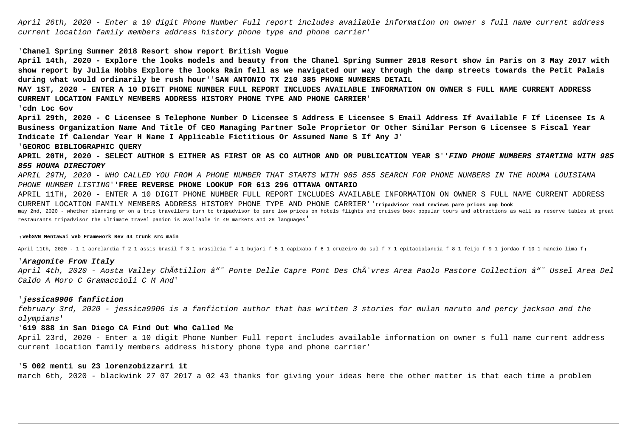April 26th, 2020 - Enter a 10 digit Phone Number Full report includes available information on owner s full name current address current location family members address history phone type and phone carrier'

## '**Chanel Spring Summer 2018 Resort show report British Vogue**

**April 14th, 2020 - Explore the looks models and beauty from the Chanel Spring Summer 2018 Resort show in Paris on 3 May 2017 with show report by Julia Hobbs Explore the looks Rain fell as we navigated our way through the damp streets towards the Petit Palais during what would ordinarily be rush hour**''**SAN ANTONIO TX 210 385 PHONE NUMBERS DETAIL**

**MAY 1ST, 2020 - ENTER A 10 DIGIT PHONE NUMBER FULL REPORT INCLUDES AVAILABLE INFORMATION ON OWNER S FULL NAME CURRENT ADDRESS CURRENT LOCATION FAMILY MEMBERS ADDRESS HISTORY PHONE TYPE AND PHONE CARRIER**'

## '**cdn Loc Gov**

**April 29th, 2020 - C Licensee S Telephone Number D Licensee S Address E Licensee S Email Address If Available F If Licensee Is A Business Organization Name And Title Of CEO Managing Partner Sole Proprietor Or Other Similar Person G Licensee S Fiscal Year Indicate If Calendar Year H Name I Applicable Fictitious Or Assumed Name S If Any J**'

## '**GEOROC BIBLIOGRAPHIC QUERY**

**APRIL 20TH, 2020 - SELECT AUTHOR S EITHER AS FIRST OR AS CO AUTHOR AND OR PUBLICATION YEAR S**''**FIND PHONE NUMBERS STARTING WITH 985 855 HOUMA DIRECTORY**

APRIL 29TH, 2020 - WHO CALLED YOU FROM A PHONE NUMBER THAT STARTS WITH 985 855 SEARCH FOR PHONE NUMBERS IN THE HOUMA LOUISIANA PHONE NUMBER LISTING''**FREE REVERSE PHONE LOOKUP FOR 613 296 OTTAWA ONTARIO**

APRIL 11TH, 2020 - ENTER A 10 DIGIT PHONE NUMBER FULL REPORT INCLUDES AVAILABLE INFORMATION ON OWNER S FULL NAME CURRENT ADDRESS CURRENT LOCATION FAMILY MEMBERS ADDRESS HISTORY PHONE TYPE AND PHONE CARRIER''**tripadvisor read reviews pare prices amp book** may 2nd, 2020 - whether planning or on a trip travellers turn to tripadvisor to pare low prices on hotels flights and cruises book popular tours and attractions as well as reserve tables at great restaurants tripadvisor the ultimate travel panion is available in 49 markets and 28 languages'

#### '**WebSVN Mentawai Web Framework Rev 44 trunk src main**

April 11th, 2020 - 1 1 acrelandia f 2 1 assis brasil f 3 1 brasileia f 4 1 bujari f 5 1 capixaba f 6 1 cruzeiro do sul f 7 1 epitaciolandia f 8 1 feijo f 9 1 jordao f 10 1 mancio lima f,

## '**Aragonite From Italy**

April 4th, 2020 - Aosta Valley Châtillon â"~ Ponte Delle Capre Pont Des ChÃ″vres Area Paolo Pastore Collection â"~ Ussel Area Del Caldo A Moro C Gramaccioli C M And'

## '**jessica9906 fanfiction**

february 3rd, 2020 - jessica9906 is a fanfiction author that has written 3 stories for mulan naruto and percy jackson and the olympians'

## '**619 888 in San Diego CA Find Out Who Called Me**

April 23rd, 2020 - Enter a 10 digit Phone Number Full report includes available information on owner s full name current address current location family members address history phone type and phone carrier'

# '**5 002 menti su 23 lorenzobizzarri it**

march 6th, 2020 - blackwink 27 07 2017 a 02 43 thanks for giving your ideas here the other matter is that each time a problem